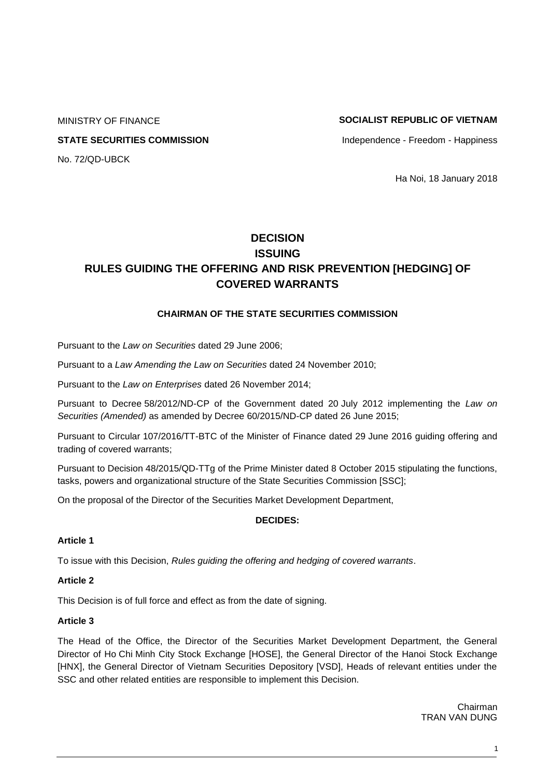# MINISTRY OF FINANCE **SOCIALIST REPUBLIC OF VIETNAM**

**STATE SECURITIES COMMISSION Independence - Freedom - Happiness** 

No. 72/QD-UBCK

Ha Noi, 18 January 2018

# **DECISION ISSUING RULES GUIDING THE OFFERING AND RISK PREVENTION [HEDGING] OF COVERED WARRANTS**

# **CHAIRMAN OF THE STATE SECURITIES COMMISSION**

Pursuant to the *Law on Securities* dated 29 June 2006;

Pursuant to a *Law Amending the Law on Securities* dated 24 November 2010;

Pursuant to the *Law on Enterprises* dated 26 November 2014;

Pursuant to Decree 58/2012/ND-CP of the Government dated 20 July 2012 implementing the *Law on Securities (Amended)* as amended by Decree 60/2015/ND-CP dated 26 June 2015;

Pursuant to Circular 107/2016/TT-BTC of the Minister of Finance dated 29 June 2016 guiding offering and trading of covered warrants;

Pursuant to Decision 48/2015/QD-TTg of the Prime Minister dated 8 October 2015 stipulating the functions, tasks, powers and organizational structure of the State Securities Commission [SSC];

On the proposal of the Director of the Securities Market Development Department,

# **DECIDES:**

# **Article 1**

To issue with this Decision, *Rules guiding the offering and hedging of covered warrants*.

# **Article 2**

This Decision is of full force and effect as from the date of signing.

# **Article 3**

The Head of the Office, the Director of the Securities Market Development Department, the General Director of Ho Chi Minh City Stock Exchange [HOSE], the General Director of the Hanoi Stock Exchange [HNX], the General Director of Vietnam Securities Depository [VSD], Heads of relevant entities under the SSC and other related entities are responsible to implement this Decision.

> Chairman TRAN VAN DUNG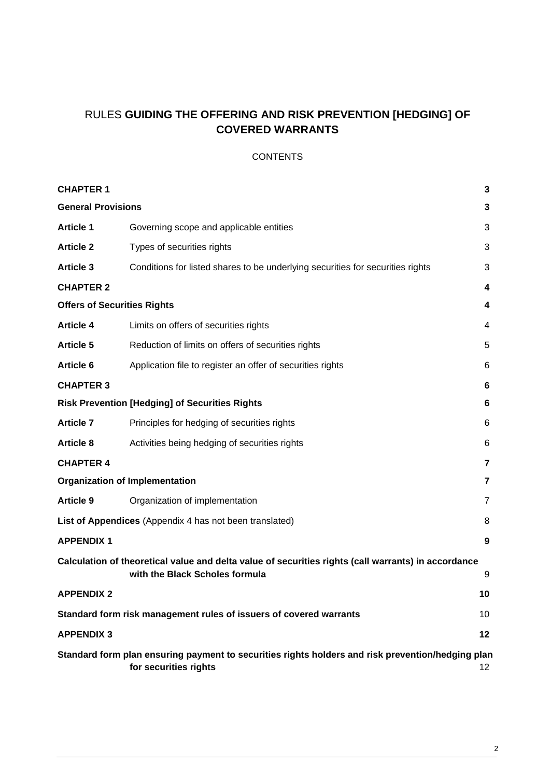# RULES **GUIDING THE OFFERING AND RISK PREVENTION [HEDGING] OF COVERED WARRANTS**

# **CONTENTS**

| <b>CHAPTER 1</b>                                                                                                                              |                                                                                | 3              |
|-----------------------------------------------------------------------------------------------------------------------------------------------|--------------------------------------------------------------------------------|----------------|
| <b>General Provisions</b><br>3                                                                                                                |                                                                                |                |
| <b>Article 1</b>                                                                                                                              | Governing scope and applicable entities                                        | 3              |
| <b>Article 2</b>                                                                                                                              | Types of securities rights                                                     | 3              |
| <b>Article 3</b>                                                                                                                              | Conditions for listed shares to be underlying securities for securities rights | 3              |
| <b>CHAPTER 2</b>                                                                                                                              |                                                                                | 4              |
| <b>Offers of Securities Rights</b><br>4                                                                                                       |                                                                                |                |
| <b>Article 4</b>                                                                                                                              | Limits on offers of securities rights                                          | 4              |
| <b>Article 5</b>                                                                                                                              | Reduction of limits on offers of securities rights                             | 5              |
| Article 6                                                                                                                                     | Application file to register an offer of securities rights                     | 6              |
| <b>CHAPTER 3</b>                                                                                                                              |                                                                                | 6              |
|                                                                                                                                               | <b>Risk Prevention [Hedging] of Securities Rights</b>                          | 6              |
| <b>Article 7</b>                                                                                                                              | Principles for hedging of securities rights                                    | 6              |
| <b>Article 8</b>                                                                                                                              | Activities being hedging of securities rights                                  | 6              |
| <b>CHAPTER 4</b>                                                                                                                              |                                                                                | 7              |
| <b>Organization of Implementation</b><br>7                                                                                                    |                                                                                |                |
| <b>Article 9</b>                                                                                                                              | Organization of implementation                                                 | $\overline{7}$ |
| List of Appendices (Appendix 4 has not been translated)<br>8                                                                                  |                                                                                |                |
| <b>APPENDIX 1</b>                                                                                                                             |                                                                                | 9              |
| Calculation of theoretical value and delta value of securities rights (call warrants) in accordance<br>with the Black Scholes formula<br>9    |                                                                                |                |
| <b>APPENDIX 2</b>                                                                                                                             |                                                                                | 10             |
| Standard form risk management rules of issuers of covered warrants<br>10                                                                      |                                                                                |                |
| <b>APPENDIX 3</b>                                                                                                                             |                                                                                | 12             |
| Standard form plan ensuring payment to securities rights holders and risk prevention/hedging plan<br>for securities rights<br>12 <sub>2</sub> |                                                                                |                |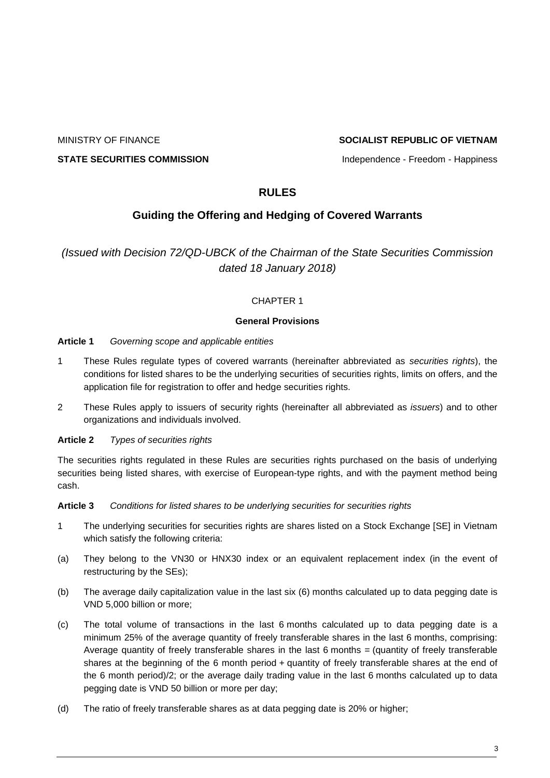# MINISTRY OF FINANCE **SOCIALIST REPUBLIC OF VIETNAM**

**STATE SECURITIES COMMISSION Independence - Freedom - Happiness** 

# **RULES**

# **Guiding the Offering and Hedging of Covered Warrants**

<span id="page-2-0"></span>*(Issued with Decision 72/QD-UBCK of the Chairman of the State Securities Commission dated 18 January 2018)*

# CHAPTER 1

# **General Provisions**

# <span id="page-2-2"></span><span id="page-2-1"></span>**Article 1** *Governing scope and applicable entities*

- 1 These Rules regulate types of covered warrants (hereinafter abbreviated as *securities rights*), the conditions for listed shares to be the underlying securities of securities rights, limits on offers, and the application file for registration to offer and hedge securities rights.
- 2 These Rules apply to issuers of security rights (hereinafter all abbreviated as *issuers*) and to other organizations and individuals involved.

# <span id="page-2-3"></span>**Article 2** *Types of securities rights*

The securities rights regulated in these Rules are securities rights purchased on the basis of underlying securities being listed shares, with exercise of European-type rights, and with the payment method being cash.

# <span id="page-2-4"></span>**Article 3** *Conditions for listed shares to be underlying securities for securities rights*

- 1 The underlying securities for securities rights are shares listed on a Stock Exchange [SE] in Vietnam which satisfy the following criteria:
- (a) They belong to the VN30 or HNX30 index or an equivalent replacement index (in the event of restructuring by the SEs);
- (b) The average daily capitalization value in the last six (6) months calculated up to data pegging date is VND 5,000 billion or more;
- (c) The total volume of transactions in the last 6 months calculated up to data pegging date is a minimum 25% of the average quantity of freely transferable shares in the last 6 months, comprising: Average quantity of freely transferable shares in the last 6 months = (quantity of freely transferable shares at the beginning of the 6 month period + quantity of freely transferable shares at the end of the 6 month period)/2; or the average daily trading value in the last 6 months calculated up to data pegging date is VND 50 billion or more per day;
- (d) The ratio of freely transferable shares as at data pegging date is 20% or higher;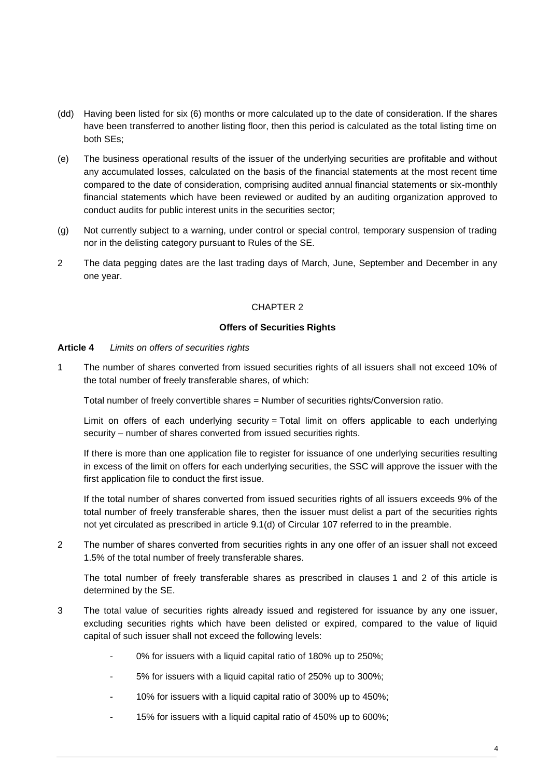- (dd) Having been listed for six (6) months or more calculated up to the date of consideration. If the shares have been transferred to another listing floor, then this period is calculated as the total listing time on both SEs;
- (e) The business operational results of the issuer of the underlying securities are profitable and without any accumulated losses, calculated on the basis of the financial statements at the most recent time compared to the date of consideration, comprising audited annual financial statements or six-monthly financial statements which have been reviewed or audited by an auditing organization approved to conduct audits for public interest units in the securities sector;
- (g) Not currently subject to a warning, under control or special control, temporary suspension of trading nor in the delisting category pursuant to Rules of the SE.
- <span id="page-3-0"></span>2 The data pegging dates are the last trading days of March, June, September and December in any one year.

# CHAPTER 2

#### **Offers of Securities Rights**

#### <span id="page-3-2"></span><span id="page-3-1"></span>**Article 4** *Limits on offers of securities rights*

1 The number of shares converted from issued securities rights of all issuers shall not exceed 10% of the total number of freely transferable shares, of which:

Total number of freely convertible shares = Number of securities rights/Conversion ratio.

Limit on offers of each underlying security = Total limit on offers applicable to each underlying security – number of shares converted from issued securities rights.

If there is more than one application file to register for issuance of one underlying securities resulting in excess of the limit on offers for each underlying securities, the SSC will approve the issuer with the first application file to conduct the first issue.

If the total number of shares converted from issued securities rights of all issuers exceeds 9% of the total number of freely transferable shares, then the issuer must delist a part of the securities rights not yet circulated as prescribed in article 9.1(d) of Circular 107 referred to in the preamble.

2 The number of shares converted from securities rights in any one offer of an issuer shall not exceed 1.5% of the total number of freely transferable shares.

The total number of freely transferable shares as prescribed in clauses 1 and 2 of this article is determined by the SE.

- 3 The total value of securities rights already issued and registered for issuance by any one issuer, excluding securities rights which have been delisted or expired, compared to the value of liquid capital of such issuer shall not exceed the following levels:
	- 0% for issuers with a liquid capital ratio of 180% up to 250%;
	- 5% for issuers with a liquid capital ratio of 250% up to 300%;
	- 10% for issuers with a liquid capital ratio of 300% up to 450%;
	- 15% for issuers with a liquid capital ratio of 450% up to 600%;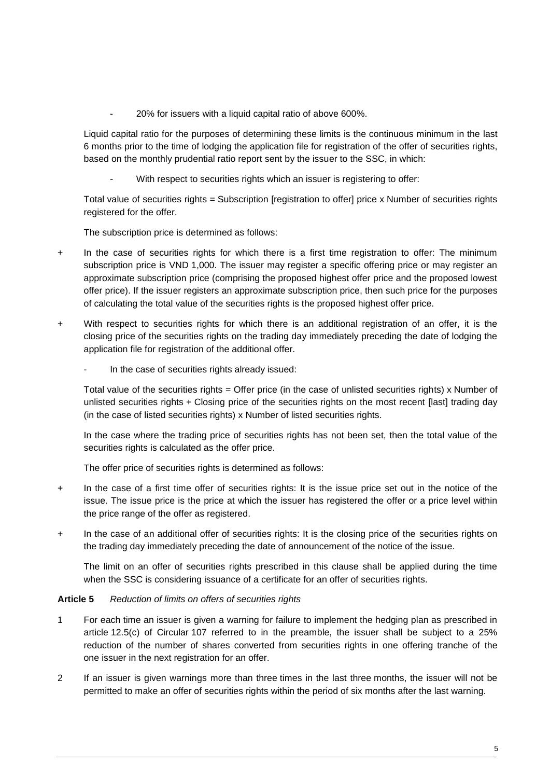- 20% for issuers with a liquid capital ratio of above 600%.

Liquid capital ratio for the purposes of determining these limits is the continuous minimum in the last 6 months prior to the time of lodging the application file for registration of the offer of securities rights, based on the monthly prudential ratio report sent by the issuer to the SSC, in which:

With respect to securities rights which an issuer is registering to offer:

Total value of securities rights = Subscription [registration to offer] price x Number of securities rights registered for the offer.

The subscription price is determined as follows:

- + In the case of securities rights for which there is a first time registration to offer: The minimum subscription price is VND 1,000. The issuer may register a specific offering price or may register an approximate subscription price (comprising the proposed highest offer price and the proposed lowest offer price). If the issuer registers an approximate subscription price, then such price for the purposes of calculating the total value of the securities rights is the proposed highest offer price.
- + With respect to securities rights for which there is an additional registration of an offer, it is the closing price of the securities rights on the trading day immediately preceding the date of lodging the application file for registration of the additional offer.
	- In the case of securities rights already issued:

Total value of the securities rights = Offer price (in the case of unlisted securities rights) x Number of unlisted securities rights + Closing price of the securities rights on the most recent [last] trading day (in the case of listed securities rights) x Number of listed securities rights.

In the case where the trading price of securities rights has not been set, then the total value of the securities rights is calculated as the offer price.

The offer price of securities rights is determined as follows:

- + In the case of a first time offer of securities rights: It is the issue price set out in the notice of the issue. The issue price is the price at which the issuer has registered the offer or a price level within the price range of the offer as registered.
- + In the case of an additional offer of securities rights: It is the closing price of the securities rights on the trading day immediately preceding the date of announcement of the notice of the issue.

The limit on an offer of securities rights prescribed in this clause shall be applied during the time when the SSC is considering issuance of a certificate for an offer of securities rights.

# <span id="page-4-0"></span>**Article 5** *Reduction of limits on offers of securities rights*

- 1 For each time an issuer is given a warning for failure to implement the hedging plan as prescribed in article 12.5(c) of Circular 107 referred to in the preamble, the issuer shall be subject to a 25% reduction of the number of shares converted from securities rights in one offering tranche of the one issuer in the next registration for an offer.
- 2 If an issuer is given warnings more than three times in the last three months, the issuer will not be permitted to make an offer of securities rights within the period of six months after the last warning.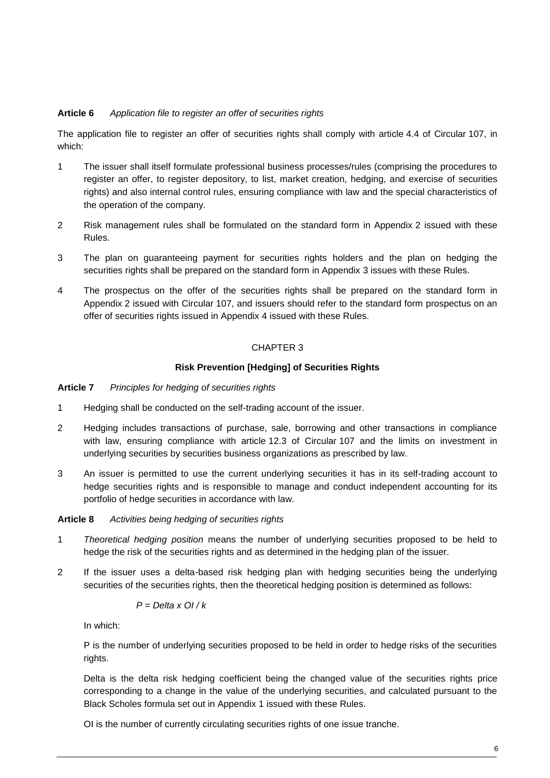# <span id="page-5-0"></span>**Article 6** *Application file to register an offer of securities rights*

The application file to register an offer of securities rights shall comply with article 4.4 of Circular 107, in which:

- 1 The issuer shall itself formulate professional business processes/rules (comprising the procedures to register an offer, to register depository, to list, market creation, hedging, and exercise of securities rights) and also internal control rules, ensuring compliance with law and the special characteristics of the operation of the company.
- 2 Risk management rules shall be formulated on the standard form in Appendix 2 issued with these Rules.
- 3 The plan on guaranteeing payment for securities rights holders and the plan on hedging the securities rights shall be prepared on the standard form in Appendix 3 issues with these Rules.
- <span id="page-5-1"></span>4 The prospectus on the offer of the securities rights shall be prepared on the standard form in Appendix 2 issued with Circular 107, and issuers should refer to the standard form prospectus on an offer of securities rights issued in Appendix 4 issued with these Rules.

# CHAPTER 3

# **Risk Prevention [Hedging] of Securities Rights**

#### <span id="page-5-3"></span><span id="page-5-2"></span>**Article 7** *Principles for hedging of securities rights*

- 1 Hedging shall be conducted on the self-trading account of the issuer.
- 2 Hedging includes transactions of purchase, sale, borrowing and other transactions in compliance with law, ensuring compliance with article 12.3 of Circular 107 and the limits on investment in underlying securities by securities business organizations as prescribed by law.
- 3 An issuer is permitted to use the current underlying securities it has in its self-trading account to hedge securities rights and is responsible to manage and conduct independent accounting for its portfolio of hedge securities in accordance with law.

# <span id="page-5-4"></span>**Article 8** *Activities being hedging of securities rights*

- 1 *Theoretical hedging position* means the number of underlying securities proposed to be held to hedge the risk of the securities rights and as determined in the hedging plan of the issuer.
- 2 If the issuer uses a delta-based risk hedging plan with hedging securities being the underlying securities of the securities rights, then the theoretical hedging position is determined as follows:

$$
P = Delta \times O1 / k
$$

In which:

P is the number of underlying securities proposed to be held in order to hedge risks of the securities rights.

Delta is the delta risk hedging coefficient being the changed value of the securities rights price corresponding to a change in the value of the underlying securities, and calculated pursuant to the Black Scholes formula set out in Appendix 1 issued with these Rules.

OI is the number of currently circulating securities rights of one issue tranche.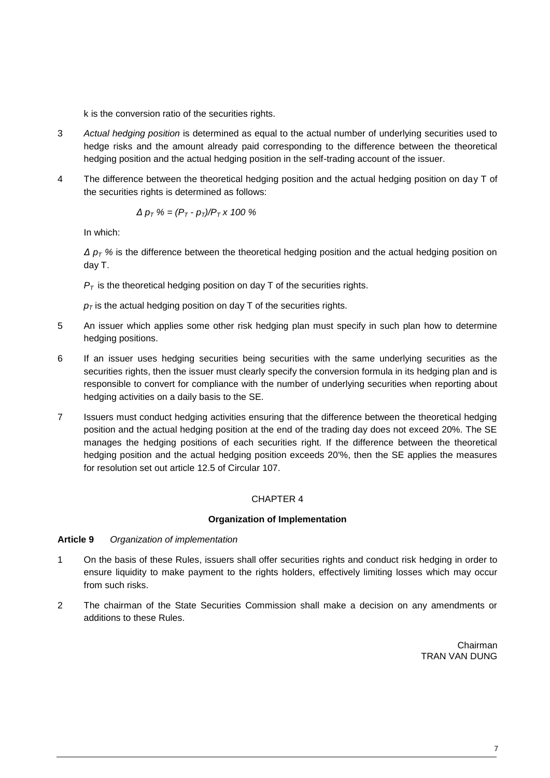k is the conversion ratio of the securities rights.

- 3 *Actual hedging position* is determined as equal to the actual number of underlying securities used to hedge risks and the amount already paid corresponding to the difference between the theoretical hedging position and the actual hedging position in the self-trading account of the issuer.
- 4 The difference between the theoretical hedging position and the actual hedging position on day T of the securities rights is determined as follows:

$$
\Delta p_T \mathcal{C} = (P_T - p_T)/P_T \times 100 \mathcal{C}
$$

In which:

*Δ p<sup>T</sup> %* is the difference between the theoretical hedging position and the actual hedging position on day T.

 $P_T$  is the theoretical hedging position on day T of the securities rights.

 $p<sub>T</sub>$  is the actual hedging position on day T of the securities rights.

- 5 An issuer which applies some other risk hedging plan must specify in such plan how to determine hedging positions.
- 6 If an issuer uses hedging securities being securities with the same underlying securities as the securities rights, then the issuer must clearly specify the conversion formula in its hedging plan and is responsible to convert for compliance with the number of underlying securities when reporting about hedging activities on a daily basis to the SE.
- 7 Issuers must conduct hedging activities ensuring that the difference between the theoretical hedging position and the actual hedging position at the end of the trading day does not exceed 20%. The SE manages the hedging positions of each securities right. If the difference between the theoretical hedging position and the actual hedging position exceeds 20'%, then the SE applies the measures for resolution set out article 12.5 of Circular 107.

# CHAPTER 4

# **Organization of Implementation**

# <span id="page-6-2"></span><span id="page-6-1"></span><span id="page-6-0"></span>**Article 9** *Organization of implementation*

- 1 On the basis of these Rules, issuers shall offer securities rights and conduct risk hedging in order to ensure liquidity to make payment to the rights holders, effectively limiting losses which may occur from such risks.
- 2 The chairman of the State Securities Commission shall make a decision on any amendments or additions to these Rules.

Chairman TRAN VAN DUNG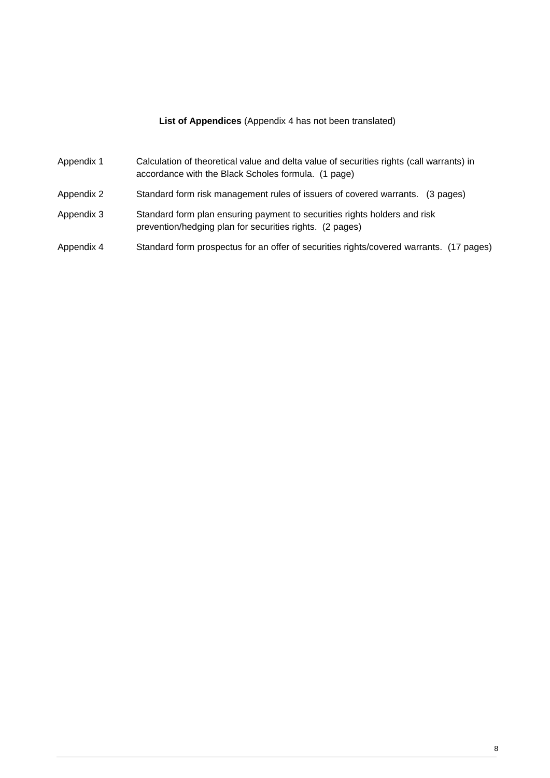# **List of Appendices** (Appendix 4 has not been translated)

<span id="page-7-0"></span>

| Appendix 1 | Calculation of theoretical value and delta value of securities rights (call warrants) in<br>accordance with the Black Scholes formula. (1 page) |
|------------|-------------------------------------------------------------------------------------------------------------------------------------------------|
| Appendix 2 | Standard form risk management rules of issuers of covered warrants. (3 pages)                                                                   |
| Appendix 3 | Standard form plan ensuring payment to securities rights holders and risk<br>prevention/hedging plan for securities rights. (2 pages)           |
| Appendix 4 | Standard form prospectus for an offer of securities rights/covered warrants. (17 pages)                                                         |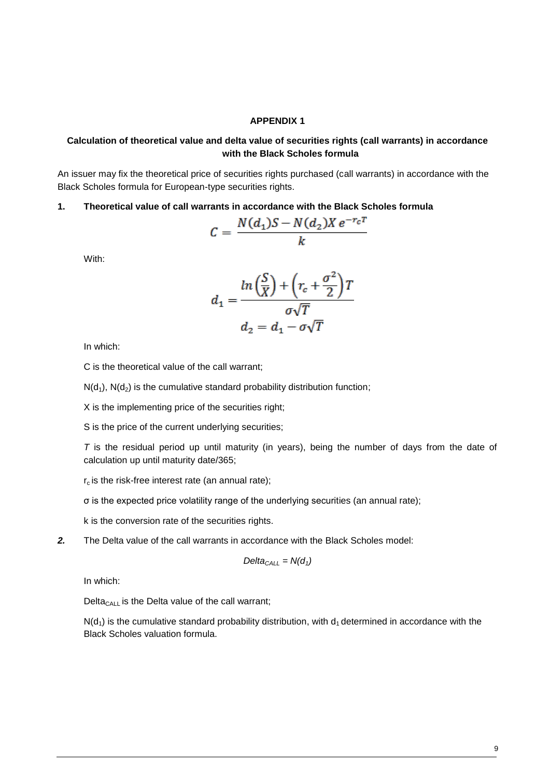#### **APPENDIX 1**

# <span id="page-8-1"></span><span id="page-8-0"></span>**Calculation of theoretical value and delta value of securities rights (call warrants) in accordance with the Black Scholes formula**

An issuer may fix the theoretical price of securities rights purchased (call warrants) in accordance with the Black Scholes formula for European-type securities rights.

**1. Theoretical value of call warrants in accordance with the Black Scholes formula**

$$
C = \frac{N(d_1)S - N(d_2)Xe^{-r_cT}}{k}
$$

With:

$$
d_1 = \frac{\ln\left(\frac{S}{X}\right) + \left(r_c + \frac{\sigma^2}{2}\right)T}{\sigma\sqrt{T}}
$$

$$
d_2 = d_1 - \sigma\sqrt{T}
$$

In which:

C is the theoretical value of the call warrant;

 $N(d_1)$ ,  $N(d_2)$  is the cumulative standard probability distribution function;

X is the implementing price of the securities right;

S is the price of the current underlying securities;

*T* is the residual period up until maturity (in years), being the number of days from the date of calculation up until maturity date/365;

 $r_c$  is the risk-free interest rate (an annual rate);

σ is the expected price volatility range of the underlying securities (an annual rate);

k is the conversion rate of the securities rights.

*2.* The Delta value of the call warrants in accordance with the Black Scholes model:

$$
Delta_{CALL} = N(d_1)
$$

In which:

Delta<sub>CALL</sub> is the Delta value of the call warrant;

 $N(d_1)$  is the cumulative standard probability distribution, with  $d_1$  determined in accordance with the Black Scholes valuation formula.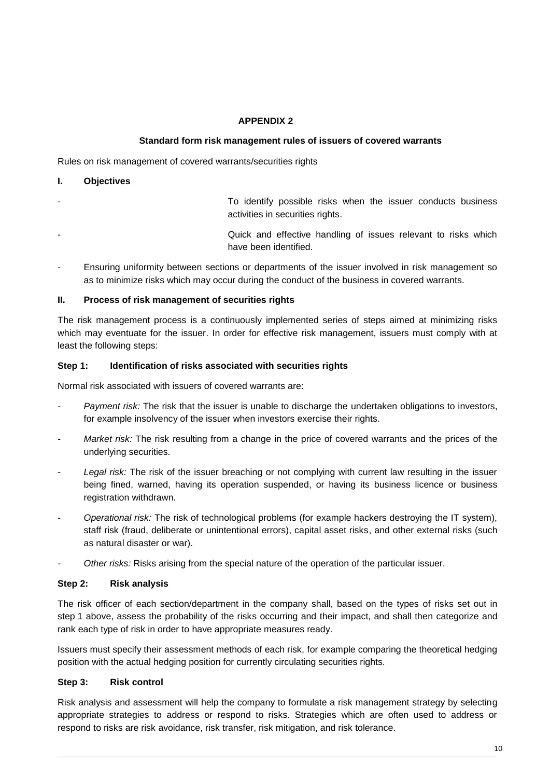# **APPENDIX 2**

# **Standard form risk management rules of issuers of covered warrants**

<span id="page-9-1"></span><span id="page-9-0"></span>Rules on risk management of covered warrants/securities rights

#### **I. Objectives**

- To identify possible risks when the issuer conducts business activities in securities rights.
- Quick and effective handling of issues relevant to risks which have been identified.
- Ensuring uniformity between sections or departments of the issuer involved in risk management so as to minimize risks which may occur during the conduct of the business in covered warrants.

# **II. Process of risk management of securities rights**

The risk management process is a continuously implemented series of steps aimed at minimizing risks which may eventuate for the issuer. In order for effective risk management, issuers must comply with at least the following steps:

#### **Step 1: Identification of risks associated with securities rights**

Normal risk associated with issuers of covered warrants are:

- *- Payment risk:* The risk that the issuer is unable to discharge the undertaken obligations to investors, for example insolvency of the issuer when investors exercise their rights.
- *Market risk:* The risk resulting from a change in the price of covered warrants and the prices of the underlying securities.
- *- Legal risk:* The risk of the issuer breaching or not complying with current law resulting in the issuer being fined, warned, having its operation suspended, or having its business licence or business registration withdrawn.
- *- Operational risk:* The risk of technological problems (for example hackers destroying the IT system), staff risk (fraud, deliberate or unintentional errors), capital asset risks, and other external risks (such as natural disaster or war).
- *- Other risks:* Risks arising from the special nature of the operation of the particular issuer.

# **Step 2: Risk analysis**

The risk officer of each section/department in the company shall, based on the types of risks set out in step 1 above, assess the probability of the risks occurring and their impact, and shall then categorize and rank each type of risk in order to have appropriate measures ready.

Issuers must specify their assessment methods of each risk, for example comparing the theoretical hedging position with the actual hedging position for currently circulating securities rights.

# **Step 3: Risk control**

Risk analysis and assessment will help the company to formulate a risk management strategy by selecting appropriate strategies to address or respond to risks. Strategies which are often used to address or respond to risks are risk avoidance, risk transfer, risk mitigation, and risk tolerance.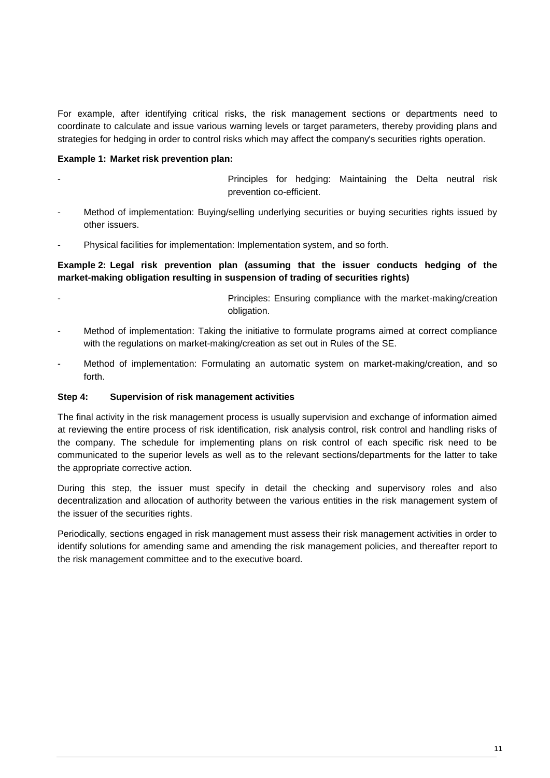For example, after identifying critical risks, the risk management sections or departments need to coordinate to calculate and issue various warning levels or target parameters, thereby providing plans and strategies for hedging in order to control risks which may affect the company's securities rights operation.

# **Example 1: Market risk prevention plan:**

Principles for hedging: Maintaining the Delta neutral risk prevention co-efficient.

- Method of implementation: Buying/selling underlying securities or buying securities rights issued by other issuers.
- Physical facilities for implementation: Implementation system, and so forth.

# **Example 2: Legal risk prevention plan (assuming that the issuer conducts hedging of the market-making obligation resulting in suspension of trading of securities rights)**

- Principles: Ensuring compliance with the market-making/creation obligation.
- Method of implementation: Taking the initiative to formulate programs aimed at correct compliance with the regulations on market-making/creation as set out in Rules of the SE.
- Method of implementation: Formulating an automatic system on market-making/creation, and so forth.

# **Step 4: Supervision of risk management activities**

The final activity in the risk management process is usually supervision and exchange of information aimed at reviewing the entire process of risk identification, risk analysis control, risk control and handling risks of the company. The schedule for implementing plans on risk control of each specific risk need to be communicated to the superior levels as well as to the relevant sections/departments for the latter to take the appropriate corrective action.

During this step, the issuer must specify in detail the checking and supervisory roles and also decentralization and allocation of authority between the various entities in the risk management system of the issuer of the securities rights.

Periodically, sections engaged in risk management must assess their risk management activities in order to identify solutions for amending same and amending the risk management policies, and thereafter report to the risk management committee and to the executive board.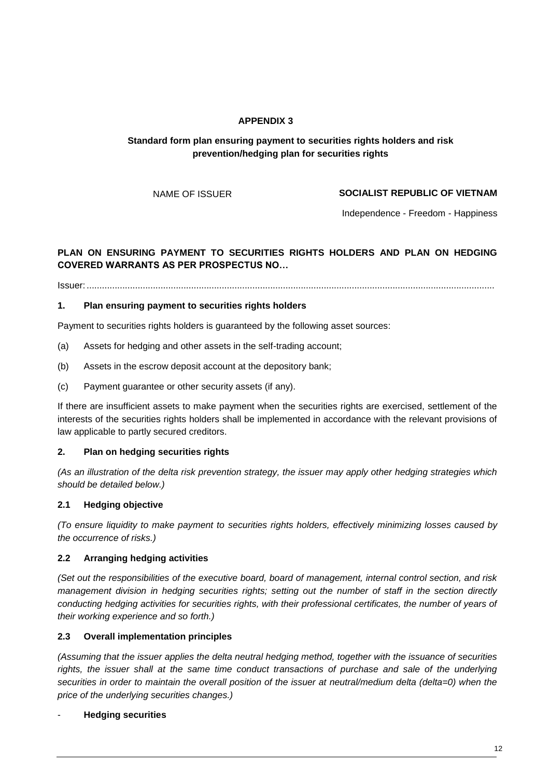# **APPENDIX 3**

# <span id="page-11-1"></span><span id="page-11-0"></span>**Standard form plan ensuring payment to securities rights holders and risk prevention/hedging plan for securities rights**

# NAME OF ISSUER **SOCIALIST REPUBLIC OF VIETNAM**

Independence - Freedom - Happiness

# **PLAN ON ENSURING PAYMENT TO SECURITIES RIGHTS HOLDERS AND PLAN ON HEDGING COVERED WARRANTS AS PER PROSPECTUS NO…**

Issuer: ................................................................................................................................................................

# **1. Plan ensuring payment to securities rights holders**

Payment to securities rights holders is guaranteed by the following asset sources:

- (a) Assets for hedging and other assets in the self-trading account;
- (b) Assets in the escrow deposit account at the depository bank;
- (c) Payment guarantee or other security assets (if any).

If there are insufficient assets to make payment when the securities rights are exercised, settlement of the interests of the securities rights holders shall be implemented in accordance with the relevant provisions of law applicable to partly secured creditors.

# **2. Plan on hedging securities rights**

*(As an illustration of the delta risk prevention strategy, the issuer may apply other hedging strategies which should be detailed below.)*

# **2.1 Hedging objective**

*(To ensure liquidity to make payment to securities rights holders, effectively minimizing losses caused by the occurrence of risks.)*

# **2.2 Arranging hedging activities**

*(Set out the responsibilities of the executive board, board of management, internal control section, and risk management division in hedging securities rights; setting out the number of staff in the section directly conducting hedging activities for securities rights, with their professional certificates, the number of years of their working experience and so forth.)*

# **2.3 Overall implementation principles**

*(Assuming that the issuer applies the delta neutral hedging method, together with the issuance of securities*  rights, the issuer shall at the same time conduct transactions of purchase and sale of the underlying securities in order to maintain the overall position of the issuer at neutral/medium delta (delta=0) when the *price of the underlying securities changes.)*

# - **Hedging securities**